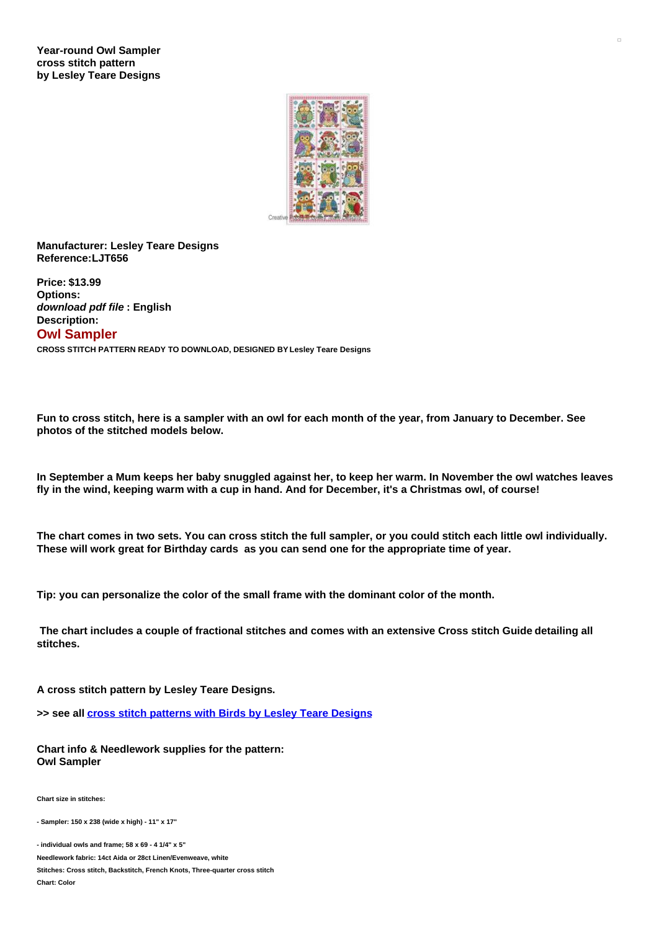

**Manufacturer: Lesley Teare Designs Reference:LJT656**

**Price: \$13.99 Options:** *download pdf file* **: English Description: Owl Sampler CROSS STITCH PATTERN READY TO DOWNLOAD, DESIGNED BY Lesley Teare Designs**

Fun to cross stitch, here is a sampler with an owl for each month of the year, from January to December, See **photos of the stitched models below.**

In September a Mum keeps her baby snuggled against her, to keep her warm. In November the owl watches leaves fly in the wind, keeping warm with a cup in hand. And for December, it's a Christmas owl, of course!

The chart comes in two sets. You can cross stitch the full sampler, or you could stitch each little owl individually. **These will work great for Birthday cards as you can send one for the appropriate time of year.**

**Tip: you can personalize the color of the small frame with the dominant color of the month.**

The chart includes a couple of fractional stitches and comes with an extensive Cross stitch Guide detailing all **stitches.**

**A cross stitch pattern by Lesley Teare Designs.**

**>> see all cross stitch [patterns](https://www.creativepoppypatterns.com/birds-cross-stitch-lesley-teare-designs-xsl-296_538_559.html) with Birds by Lesley Teare Designs**

**Chart info & Needlework supplies for the pattern: Owl Sampler**

**Chart size in stitches:**

**- Sampler: 150 x 238 (wide x high) - 11" x 17"**

**- individual owls and frame; 58 x 69 - 4 1/4" x 5"**

**Needlework fabric: 14ct Aida or 28ct Linen/Evenweave, white**

**Stitches: Cross stitch, Backstitch, French Knots, Three-quarter cross stitch**

**Chart: Color**